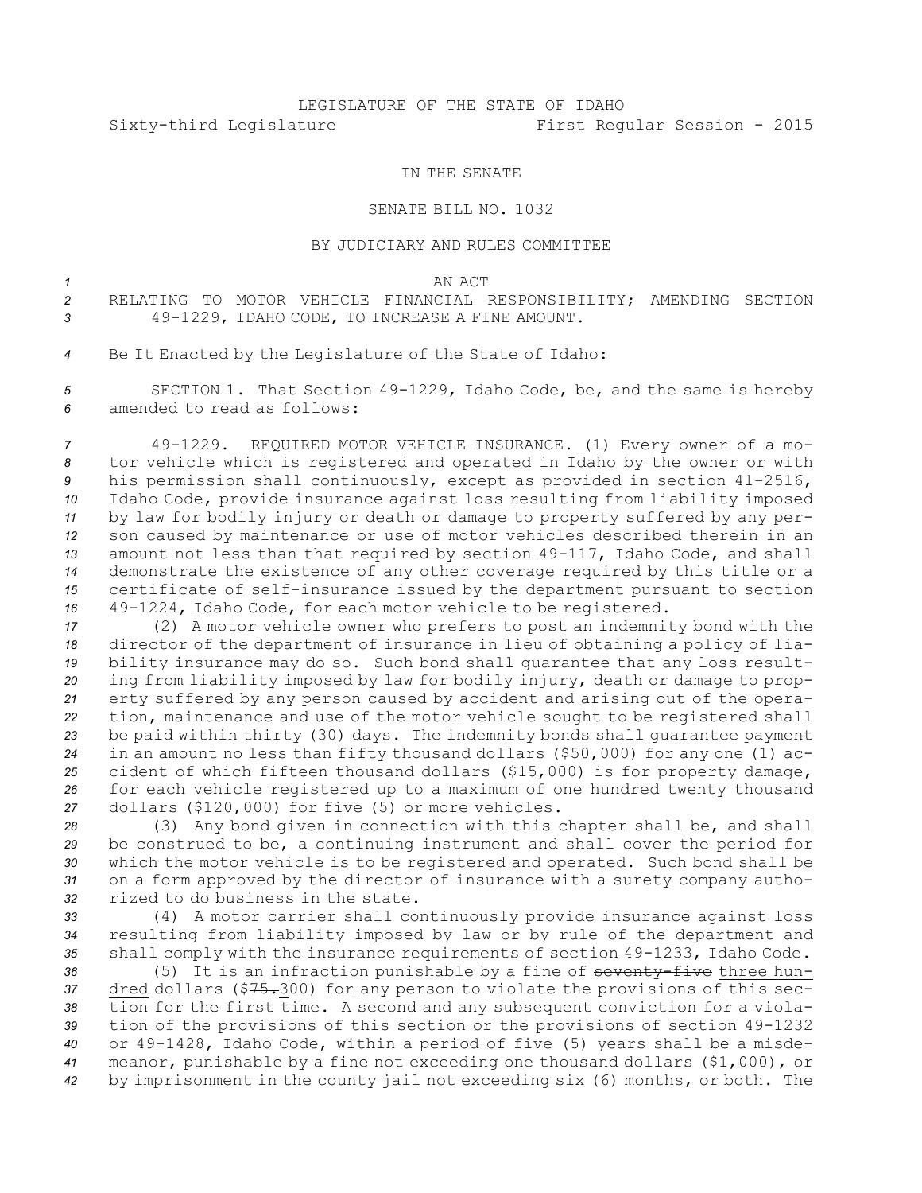## LEGISLATURE OF THE STATE OF IDAHO Sixty-third Legislature First Regular Session - 2015

## IN THE SENATE

## SENATE BILL NO. 1032

## BY JUDICIARY AND RULES COMMITTEE

*1* AN ACT

*2* RELATING TO MOTOR VEHICLE FINANCIAL RESPONSIBILITY; AMENDING SECTION *<sup>3</sup>* 49-1229, IDAHO CODE, TO INCREASE A FINE AMOUNT.

*<sup>4</sup>* Be It Enacted by the Legislature of the State of Idaho:

*<sup>5</sup>* SECTION 1. That Section 49-1229, Idaho Code, be, and the same is hereby *6* amended to read as follows:

 49-1229. REQUIRED MOTOR VEHICLE INSURANCE. (1) Every owner of <sup>a</sup> mo- tor vehicle which is registered and operated in Idaho by the owner or with his permission shall continuously, except as provided in section 41-2516, Idaho Code, provide insurance against loss resulting from liability imposed by law for bodily injury or death or damage to property suffered by any per- son caused by maintenance or use of motor vehicles described therein in an amount not less than that required by section 49-117, Idaho Code, and shall demonstrate the existence of any other coverage required by this title or <sup>a</sup> certificate of self-insurance issued by the department pursuant to section 49-1224, Idaho Code, for each motor vehicle to be registered.

 (2) <sup>A</sup> motor vehicle owner who prefers to post an indemnity bond with the director of the department of insurance in lieu of obtaining <sup>a</sup> policy of lia- bility insurance may do so. Such bond shall guarantee that any loss result- ing from liability imposed by law for bodily injury, death or damage to prop- erty suffered by any person caused by accident and arising out of the opera- tion, maintenance and use of the motor vehicle sought to be registered shall be paid within thirty (30) days. The indemnity bonds shall guarantee payment in an amount no less than fifty thousand dollars (\$50,000) for any one (1) ac- cident of which fifteen thousand dollars (\$15,000) is for property damage, for each vehicle registered up to <sup>a</sup> maximum of one hundred twenty thousand dollars (\$120,000) for five (5) or more vehicles.

 (3) Any bond given in connection with this chapter shall be, and shall be construed to be, <sup>a</sup> continuing instrument and shall cover the period for which the motor vehicle is to be registered and operated. Such bond shall be on <sup>a</sup> form approved by the director of insurance with <sup>a</sup> surety company autho-rized to do business in the state.

*<sup>33</sup>* (4) <sup>A</sup> motor carrier shall continuously provide insurance against loss *<sup>34</sup>* resulting from liability imposed by law or by rule of the department and *<sup>35</sup>* shall comply with the insurance requirements of section 49-1233, Idaho Code.

 (5) It is an infraction punishable by <sup>a</sup> fine of seventy-five three hun- dred dollars (\$75.300) for any person to violate the provisions of this sec- tion for the first time. <sup>A</sup> second and any subsequent conviction for <sup>a</sup> viola- tion of the provisions of this section or the provisions of section 49-1232 or 49-1428, Idaho Code, within <sup>a</sup> period of five (5) years shall be <sup>a</sup> misde- meanor, punishable by <sup>a</sup> fine not exceeding one thousand dollars (\$1,000), or by imprisonment in the county jail not exceeding six (6) months, or both. The